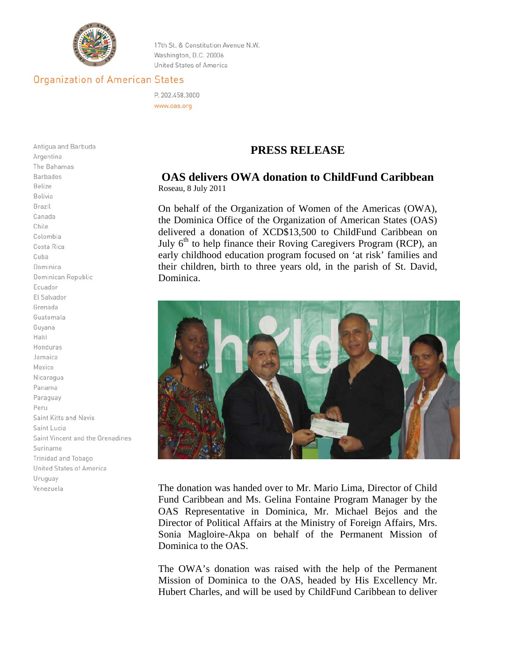

17th St. & Constitution Avenue N.W. Washington, D.C. 20006 United States of America

## **Organization of American States**

P. 202.458.3000 www.oas.org

## **PRESS RELEASE**

## **OAS delivers OWA donation to ChildFund Caribbean**  Roseau, 8 July 2011

On behalf of the Organization of Women of the Americas (OWA), the Dominica Office of the Organization of American States (OAS) delivered a donation of XCD\$13,500 to ChildFund Caribbean on July  $6<sup>th</sup>$  to help finance their Roving Caregivers Program (RCP), an early childhood education program focused on 'at risk' families and their children, birth to three years old, in the parish of St. David, Dominica.



The donation was handed over to Mr. Mario Lima, Director of Child Fund Caribbean and Ms. Gelina Fontaine Program Manager by the OAS Representative in Dominica, Mr. Michael Bejos and the Director of Political Affairs at the Ministry of Foreign Affairs, Mrs. Sonia Magloire-Akpa on behalf of the Permanent Mission of Dominica to the OAS.

The OWA's donation was raised with the help of the Permanent Mission of Dominica to the OAS, headed by His Excellency Mr. Hubert Charles*,* and will be used by ChildFund Caribbean to deliver

Antigua and Barbuda Argentina The Bahamas Barbados Belize Bolivia Brazil Canada Chile Colombia Costa Rica Cuba Dominica Dominican Republic Ecuador El Salvador Grenada Guatemala Guyana Haiti Honduras Jamaica Mexico Nicaragua Panama Paraguay Peru Saint Kitts and Nevis Saint Lucia Saint Vincent and the Grenadines Suriname Trinidad and Tobago United States of America Uruguay Venezuela